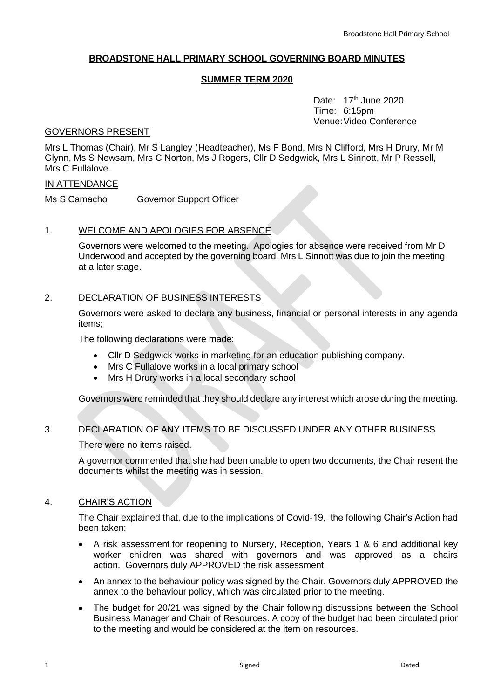# **BROADSTONE HALL PRIMARY SCHOOL GOVERNING BOARD MINUTES**

## **SUMMER TERM 2020**

Date:  $17<sup>th</sup>$  June 2020 Time: 6:15pm Venue:Video Conference

#### GOVERNORS PRESENT

Mrs L Thomas (Chair), Mr S Langley (Headteacher), Ms F Bond, Mrs N Clifford, Mrs H Drury, Mr M Glynn, Ms S Newsam, Mrs C Norton, Ms J Rogers, Cllr D Sedgwick, Mrs L Sinnott, Mr P Ressell, Mrs C Fullalove.

### IN ATTENDANCE

Ms S Camacho Governor Support Officer

## 1. WELCOME AND APOLOGIES FOR ABSENCE

Governors were welcomed to the meeting. Apologies for absence were received from Mr D Underwood and accepted by the governing board. Mrs L Sinnott was due to join the meeting at a later stage.

## 2. DECLARATION OF BUSINESS INTERESTS

Governors were asked to declare any business, financial or personal interests in any agenda items;

The following declarations were made:

- Cllr D Sedgwick works in marketing for an education publishing company.
- Mrs C Fullalove works in a local primary school
- Mrs H Drury works in a local secondary school

Governors were reminded that they should declare any interest which arose during the meeting.

## 3. DECLARATION OF ANY ITEMS TO BE DISCUSSED UNDER ANY OTHER BUSINESS

There were no items raised.

A governor commented that she had been unable to open two documents, the Chair resent the documents whilst the meeting was in session.

## 4. CHAIR'S ACTION

The Chair explained that, due to the implications of Covid-19, the following Chair's Action had been taken:

- A risk assessment for reopening to Nursery, Reception, Years 1 & 6 and additional key worker children was shared with governors and was approved as a chairs action. Governors duly APPROVED the risk assessment.
- An annex to the behaviour policy was signed by the Chair. Governors duly APPROVED the annex to the behaviour policy, which was circulated prior to the meeting.
- The budget for 20/21 was signed by the Chair following discussions between the School Business Manager and Chair of Resources. A copy of the budget had been circulated prior to the meeting and would be considered at the item on resources.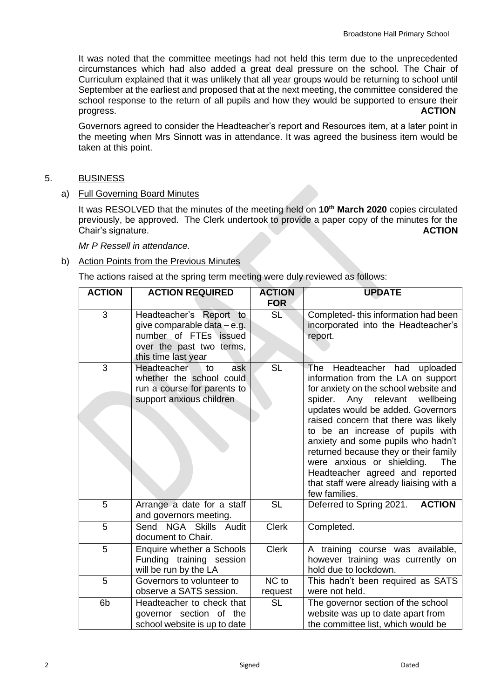It was noted that the committee meetings had not held this term due to the unprecedented circumstances which had also added a great deal pressure on the school. The Chair of Curriculum explained that it was unlikely that all year groups would be returning to school until September at the earliest and proposed that at the next meeting, the committee considered the school response to the return of all pupils and how they would be supported to ensure their progress. **ACTION**

Governors agreed to consider the Headteacher's report and Resources item, at a later point in the meeting when Mrs Sinnott was in attendance. It was agreed the business item would be taken at this point.

# 5. BUSINESS

## a) Full Governing Board Minutes

It was RESOLVED that the minutes of the meeting held on **10th March 2020** copies circulated previously, be approved. The Clerk undertook to provide a paper copy of the minutes for the Chair's signature. **ACTION**

*Mr P Ressell in attendance.*

## b) Action Points from the Previous Minutes

The actions raised at the spring term meeting were duly reviewed as follows:

| <b>ACTION</b> | <b>ACTION REQUIRED</b>                                                                                                             | <b>ACTION</b><br><b>FOR</b> | <b>UPDATE</b>                                                                                                                                                                                                                                                                                                                                                                                                                                                                        |  |
|---------------|------------------------------------------------------------------------------------------------------------------------------------|-----------------------------|--------------------------------------------------------------------------------------------------------------------------------------------------------------------------------------------------------------------------------------------------------------------------------------------------------------------------------------------------------------------------------------------------------------------------------------------------------------------------------------|--|
| 3             | Headteacher's Report to<br>give comparable data – e.g.<br>number of FTEs issued<br>over the past two terms,<br>this time last year | <b>SL</b>                   | Completed-this information had been<br>incorporated into the Headteacher's<br>report.                                                                                                                                                                                                                                                                                                                                                                                                |  |
| 3             | <b>Headteacher</b><br>ask<br>to<br>whether the school could<br>run a course for parents to<br>support anxious children             | <b>SL</b>                   | The<br>Headteacher had uploaded<br>information from the LA on support<br>for anxiety on the school website and<br>spider. Any relevant wellbeing<br>updates would be added. Governors<br>raised concern that there was likely<br>to be an increase of pupils with<br>anxiety and some pupils who hadn't<br>returned because they or their family<br>were anxious or shielding.<br>The<br>Headteacher agreed and reported<br>that staff were already liaising with a<br>few families. |  |
| 5             | Arrange a date for a staff<br>and governors meeting.                                                                               | <b>SL</b>                   | Deferred to Spring 2021.<br><b>ACTION</b>                                                                                                                                                                                                                                                                                                                                                                                                                                            |  |
| 5             | Send NGA Skills Audit<br>document to Chair.                                                                                        | <b>Clerk</b>                | Completed.                                                                                                                                                                                                                                                                                                                                                                                                                                                                           |  |
| 5             | Enquire whether a Schools<br>Funding training session<br>will be run by the LA                                                     | <b>Clerk</b>                | A training course was available,<br>however training was currently on<br>hold due to lockdown.                                                                                                                                                                                                                                                                                                                                                                                       |  |
| 5             | Governors to volunteer to<br>observe a SATS session.                                                                               | NC to<br>request            | This hadn't been required as SATS<br>were not held.                                                                                                                                                                                                                                                                                                                                                                                                                                  |  |
| 6b            | Headteacher to check that<br>governor section of the<br>school website is up to date                                               | <b>SL</b>                   | The governor section of the school<br>website was up to date apart from<br>the committee list, which would be                                                                                                                                                                                                                                                                                                                                                                        |  |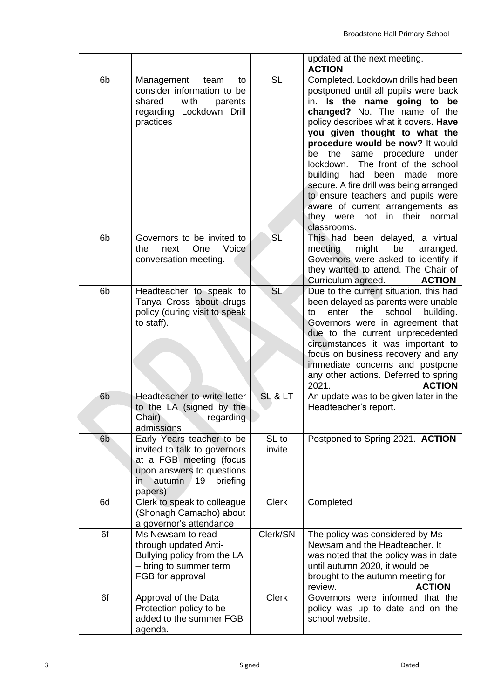|                |                                                                                                                                                                 |                 | updated at the next meeting.<br><b>ACTION</b>                                                                                                                                                                                                                                                                                                                                                                                                                                                                                                                  |  |
|----------------|-----------------------------------------------------------------------------------------------------------------------------------------------------------------|-----------------|----------------------------------------------------------------------------------------------------------------------------------------------------------------------------------------------------------------------------------------------------------------------------------------------------------------------------------------------------------------------------------------------------------------------------------------------------------------------------------------------------------------------------------------------------------------|--|
| 6b             | Management<br>team<br>to<br>consider information to be<br>with<br>shared<br>parents<br>regarding Lockdown Drill<br>practices                                    | <b>SL</b>       | Completed. Lockdown drills had been<br>postponed until all pupils were back<br>Is the name going to be<br>in.<br>changed? No. The name of the<br>policy describes what it covers. Have<br>you given thought to what the<br>procedure would be now? It would<br>same procedure<br>the<br>under<br>be<br>The front of the school<br>lockdown.<br>building had<br>been<br>more<br>made<br>secure. A fire drill was being arranged<br>to ensure teachers and pupils were<br>aware of current arrangements as<br>not in their<br>they were<br>normal<br>classrooms. |  |
| 6b             | Governors to be invited to<br>Voice<br>the<br>One<br>next<br>conversation meeting.                                                                              | <b>SL</b>       | This had been delayed, a virtual<br>meeting<br>might<br>be<br>arranged.<br>Governors were asked to identify if<br>they wanted to attend. The Chair of<br>Curriculum agreed.<br><b>ACTION</b>                                                                                                                                                                                                                                                                                                                                                                   |  |
| 6 <sub>b</sub> | Headteacher to speak to<br>Tanya Cross about drugs<br>policy (during visit to speak<br>to staff).                                                               | <b>SL</b>       | Due to the current situation, this had<br>been delayed as parents were unable<br>school<br>enter<br>the<br>building.<br>to<br>Governors were in agreement that<br>due to the current unprecedented<br>circumstances it was important to<br>focus on business recovery and any<br>immediate concerns and postpone<br>any other actions. Deferred to spring<br>2021.<br><b>ACTION</b>                                                                                                                                                                            |  |
| 6 <sub>b</sub> | Headteacher to write letter<br>to the LA (signed by the<br>Chair)<br>regarding<br>admissions                                                                    | SL & L          | An update was to be given later in the<br>Headteacher's report.                                                                                                                                                                                                                                                                                                                                                                                                                                                                                                |  |
| 6 <sub>b</sub> | Early Years teacher to be<br>invited to talk to governors<br>at a FGB meeting (focus<br>upon answers to questions<br>autumn<br>briefing<br>19<br>in.<br>papers) | SL to<br>invite | Postponed to Spring 2021. ACTION                                                                                                                                                                                                                                                                                                                                                                                                                                                                                                                               |  |
| 6d             | Clerk to speak to colleague<br>(Shonagh Camacho) about<br>a governor's attendance                                                                               | <b>Clerk</b>    | Completed                                                                                                                                                                                                                                                                                                                                                                                                                                                                                                                                                      |  |
| 6f             | Ms Newsam to read<br>through updated Anti-<br>Bullying policy from the LA<br>- bring to summer term<br>FGB for approval                                         | Clerk/SN        | The policy was considered by Ms<br>Newsam and the Headteacher. It<br>was noted that the policy was in date<br>until autumn 2020, it would be<br>brought to the autumn meeting for<br>review.<br><b>ACTION</b>                                                                                                                                                                                                                                                                                                                                                  |  |
| 6f             | Approval of the Data<br>Protection policy to be<br>added to the summer FGB<br>agenda.                                                                           | <b>Clerk</b>    | Governors were informed that the<br>policy was up to date and on the<br>school website.                                                                                                                                                                                                                                                                                                                                                                                                                                                                        |  |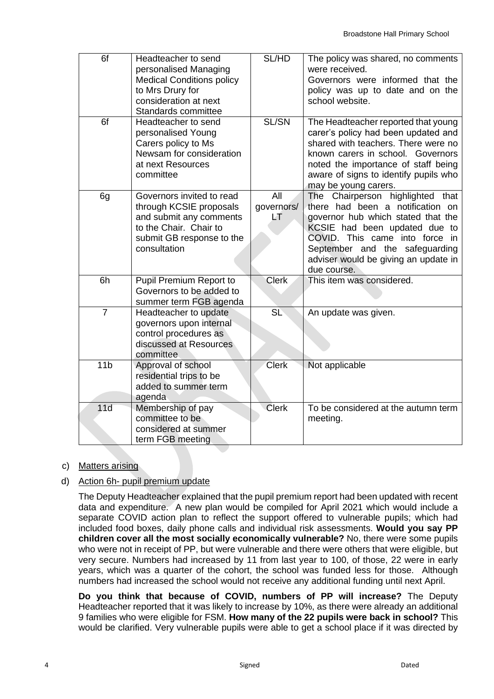| 6f              | Headteacher to send<br>personalised Managing<br><b>Medical Conditions policy</b><br>to Mrs Drury for<br>consideration at next<br>Standards committee   | SL/HD                   | The policy was shared, no comments<br>were received.<br>Governors were informed that the<br>policy was up to date and on the<br>school website.                                                                                                                        |
|-----------------|--------------------------------------------------------------------------------------------------------------------------------------------------------|-------------------------|------------------------------------------------------------------------------------------------------------------------------------------------------------------------------------------------------------------------------------------------------------------------|
| 6f              | Headteacher to send<br>personalised Young<br>Carers policy to Ms<br>Newsam for consideration<br>at next Resources<br>committee                         | SL/SN                   | The Headteacher reported that young<br>carer's policy had been updated and<br>shared with teachers. There were no<br>known carers in school. Governors<br>noted the importance of staff being<br>aware of signs to identify pupils who<br>may be young carers.         |
| 6g              | Governors invited to read<br>through KCSIE proposals<br>and submit any comments<br>to the Chair. Chair to<br>submit GB response to the<br>consultation | All<br>governors/<br>LT | The Chairperson highlighted that<br>there had been a notification on<br>governor hub which stated that the<br>KCSIE had been updated due to<br>COVID. This came into force in<br>September and the safeguarding<br>adviser would be giving an update in<br>due course. |
| 6h              | Pupil Premium Report to<br>Governors to be added to<br>summer term FGB agenda                                                                          | <b>Clerk</b>            | This item was considered.                                                                                                                                                                                                                                              |
| $\overline{7}$  | Headteacher to update<br>governors upon internal<br>control procedures as<br>discussed at Resources<br>committee                                       | SL                      | An update was given.                                                                                                                                                                                                                                                   |
| 11 <sub>b</sub> | Approval of school<br>residential trips to be<br>added to summer term<br>agenda                                                                        | <b>Clerk</b>            | Not applicable                                                                                                                                                                                                                                                         |
| 11d             | Membership of pay<br>committee to be<br>considered at summer<br>term FGB meeting                                                                       | <b>Clerk</b>            | To be considered at the autumn term<br>meeting.                                                                                                                                                                                                                        |

c) Matters arising

## d) Action 6h- pupil premium update

The Deputy Headteacher explained that the pupil premium report had been updated with recent data and expenditure. A new plan would be compiled for April 2021 which would include a separate COVID action plan to reflect the support offered to vulnerable pupils; which had included food boxes, daily phone calls and individual risk assessments. **Would you say PP children cover all the most socially economically vulnerable?** No, there were some pupils who were not in receipt of PP, but were vulnerable and there were others that were eligible, but very secure. Numbers had increased by 11 from last year to 100, of those, 22 were in early years, which was a quarter of the cohort, the school was funded less for those. Although numbers had increased the school would not receive any additional funding until next April.

**Do you think that because of COVID, numbers of PP will increase?** The Deputy Headteacher reported that it was likely to increase by 10%, as there were already an additional 9 families who were eligible for FSM. **How many of the 22 pupils were back in school?** This would be clarified. Very vulnerable pupils were able to get a school place if it was directed by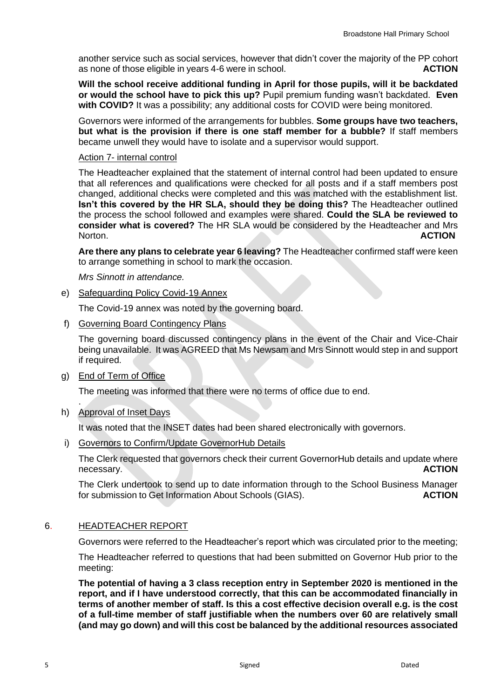another service such as social services, however that didn't cover the majority of the PP cohort as none of those eligible in years 4-6 were in school. **ACTION** 

**Will the school receive additional funding in April for those pupils, will it be backdated or would the school have to pick this up?** Pupil premium funding wasn't backdated. **Even with COVID?** It was a possibility; any additional costs for COVID were being monitored.

Governors were informed of the arrangements for bubbles. **Some groups have two teachers, but what is the provision if there is one staff member for a bubble?** If staff members became unwell they would have to isolate and a supervisor would support.

#### Action 7- internal control

The Headteacher explained that the statement of internal control had been updated to ensure that all references and qualifications were checked for all posts and if a staff members post changed, additional checks were completed and this was matched with the establishment list. **Isn't this covered by the HR SLA, should they be doing this?** The Headteacher outlined the process the school followed and examples were shared. **Could the SLA be reviewed to consider what is covered?** The HR SLA would be considered by the Headteacher and Mrs Norton. **ACTION**

**Are there any plans to celebrate year 6 leaving?** The Headteacher confirmed staff were keen to arrange something in school to mark the occasion.

*Mrs Sinnott in attendance.* 

e) Safeguarding Policy Covid-19 Annex

The Covid-19 annex was noted by the governing board.

f) Governing Board Contingency Plans

The governing board discussed contingency plans in the event of the Chair and Vice-Chair being unavailable. It was AGREED that Ms Newsam and Mrs Sinnott would step in and support if required.

g) End of Term of Office

The meeting was informed that there were no terms of office due to end.

h) Approval of Inset Days

.

It was noted that the INSET dates had been shared electronically with governors.

i) Governors to Confirm/Update GovernorHub Details

The Clerk requested that governors check their current GovernorHub details and update where necessary. **ACTION** 

The Clerk undertook to send up to date information through to the School Business Manager for submission to Get Information About Schools (GIAS). **ACTION**

#### 6. HEADTEACHER REPORT

Governors were referred to the Headteacher's report which was circulated prior to the meeting;

The Headteacher referred to questions that had been submitted on Governor Hub prior to the meeting:

**The potential of having a 3 class reception entry in September 2020 is mentioned in the report, and if I have understood correctly, that this can be accommodated financially in terms of another member of staff. Is this a cost effective decision overall e.g. is the cost of a full-time member of staff justifiable when the numbers over 60 are relatively small (and may go down) and will this cost be balanced by the additional resources associated**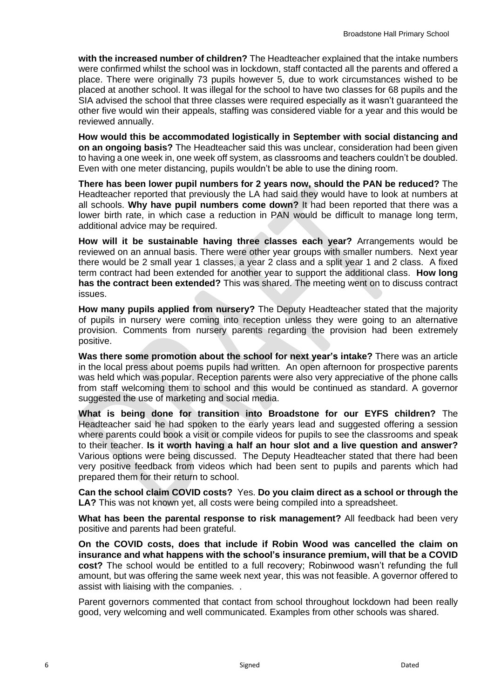**with the increased number of children?** The Headteacher explained that the intake numbers were confirmed whilst the school was in lockdown, staff contacted all the parents and offered a place. There were originally 73 pupils however 5, due to work circumstances wished to be placed at another school. It was illegal for the school to have two classes for 68 pupils and the SIA advised the school that three classes were required especially as it wasn't guaranteed the other five would win their appeals, staffing was considered viable for a year and this would be reviewed annually.

**How would this be accommodated logistically in September with social distancing and on an ongoing basis?** The Headteacher said this was unclear, consideration had been given to having a one week in, one week off system, as classrooms and teachers couldn't be doubled. Even with one meter distancing, pupils wouldn't be able to use the dining room.

**There has been lower pupil numbers for 2 years now, should the PAN be reduced?** The Headteacher reported that previously the LA had said they would have to look at numbers at all schools. **Why have pupil numbers come down?** It had been reported that there was a lower birth rate, in which case a reduction in PAN would be difficult to manage long term, additional advice may be required.

**How will it be sustainable having three classes each year?** Arrangements would be reviewed on an annual basis. There were other year groups with smaller numbers. Next year there would be 2 small year 1 classes, a year 2 class and a split year 1 and 2 class. A fixed term contract had been extended for another year to support the additional class. **How long has the contract been extended?** This was shared. The meeting went on to discuss contract issues.

**How many pupils applied from nursery?** The Deputy Headteacher stated that the majority of pupils in nursery were coming into reception unless they were going to an alternative provision. Comments from nursery parents regarding the provision had been extremely positive.

**Was there some promotion about the school for next year's intake?** There was an article in the local press about poems pupils had written. An open afternoon for prospective parents was held which was popular. Reception parents were also very appreciative of the phone calls from staff welcoming them to school and this would be continued as standard. A governor suggested the use of marketing and social media.

**What is being done for transition into Broadstone for our EYFS children?** The Headteacher said he had spoken to the early years lead and suggested offering a session where parents could book a visit or compile videos for pupils to see the classrooms and speak to their teacher. **Is it worth having a half an hour slot and a live question and answer?**  Various options were being discussed. The Deputy Headteacher stated that there had been very positive feedback from videos which had been sent to pupils and parents which had prepared them for their return to school.

**Can the school claim COVID costs?** Yes. **Do you claim direct as a school or through the LA?** This was not known yet, all costs were being compiled into a spreadsheet.

**What has been the parental response to risk management?** All feedback had been very positive and parents had been grateful.

**On the COVID costs, does that include if Robin Wood was cancelled the claim on insurance and what happens with the school's insurance premium, will that be a COVID cost?** The school would be entitled to a full recovery; Robinwood wasn't refunding the full amount, but was offering the same week next year, this was not feasible. A governor offered to assist with liaising with the companies. .

Parent governors commented that contact from school throughout lockdown had been really good, very welcoming and well communicated. Examples from other schools was shared.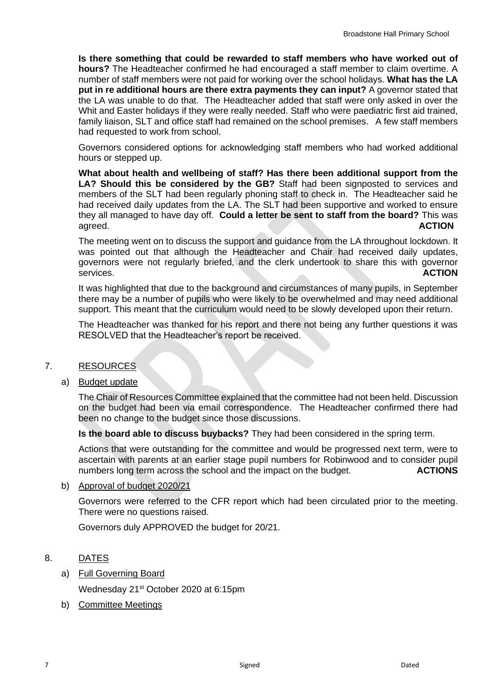**Is there something that could be rewarded to staff members who have worked out of hours?** The Headteacher confirmed he had encouraged a staff member to claim overtime. A number of staff members were not paid for working over the school holidays. **What has the LA put in re additional hours are there extra payments they can input?** A governor stated that the LA was unable to do that. The Headteacher added that staff were only asked in over the Whit and Easter holidays if they were really needed. Staff who were paediatric first aid trained, family liaison, SLT and office staff had remained on the school premises. A few staff members had requested to work from school.

Governors considered options for acknowledging staff members who had worked additional hours or stepped up.

**What about health and wellbeing of staff? Has there been additional support from the LA? Should this be considered by the GB?** Staff had been signposted to services and members of the SLT had been regularly phoning staff to check in. The Headteacher said he had received daily updates from the LA. The SLT had been supportive and worked to ensure they all managed to have day off. **Could a letter be sent to staff from the board?** This was agreed. **ACTION**

The meeting went on to discuss the support and guidance from the LA throughout lockdown. It was pointed out that although the Headteacher and Chair had received daily updates, governors were not regularly briefed, and the clerk undertook to share this with governor services. **ACTION** 

It was highlighted that due to the background and circumstances of many pupils, in September there may be a number of pupils who were likely to be overwhelmed and may need additional support. This meant that the curriculum would need to be slowly developed upon their return.

The Headteacher was thanked for his report and there not being any further questions it was RESOLVED that the Headteacher's report be received.

## 7. RESOURCES

#### a) Budget update

The Chair of Resources Committee explained that the committee had not been held. Discussion on the budget had been via email correspondence. The Headteacher confirmed there had been no change to the budget since those discussions.

**Is the board able to discuss buybacks?** They had been considered in the spring term.

Actions that were outstanding for the committee and would be progressed next term, were to ascertain with parents at an earlier stage pupil numbers for Robinwood and to consider pupil numbers long term across the school and the impact on the budget. **ACTIONS**

#### b) Approval of budget 2020/21

Governors were referred to the CFR report which had been circulated prior to the meeting. There were no questions raised.

Governors duly APPROVED the budget for 20/21.

## 8. DATES

a) Full Governing Board

Wednesday 21st October 2020 at 6:15pm

b) Committee Meetings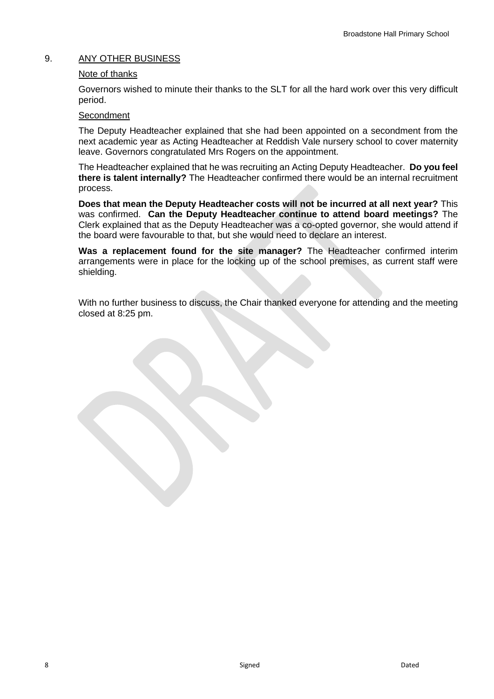# 9. ANY OTHER BUSINESS

### Note of thanks

Governors wished to minute their thanks to the SLT for all the hard work over this very difficult period.

#### **Secondment**

The Deputy Headteacher explained that she had been appointed on a secondment from the next academic year as Acting Headteacher at Reddish Vale nursery school to cover maternity leave. Governors congratulated Mrs Rogers on the appointment.

The Headteacher explained that he was recruiting an Acting Deputy Headteacher. **Do you feel there is talent internally?** The Headteacher confirmed there would be an internal recruitment process.

**Does that mean the Deputy Headteacher costs will not be incurred at all next year?** This was confirmed. **Can the Deputy Headteacher continue to attend board meetings?** The Clerk explained that as the Deputy Headteacher was a co-opted governor, she would attend if the board were favourable to that, but she would need to declare an interest.

**Was a replacement found for the site manager?** The Headteacher confirmed interim arrangements were in place for the locking up of the school premises, as current staff were shielding.

With no further business to discuss, the Chair thanked everyone for attending and the meeting closed at 8:25 pm.